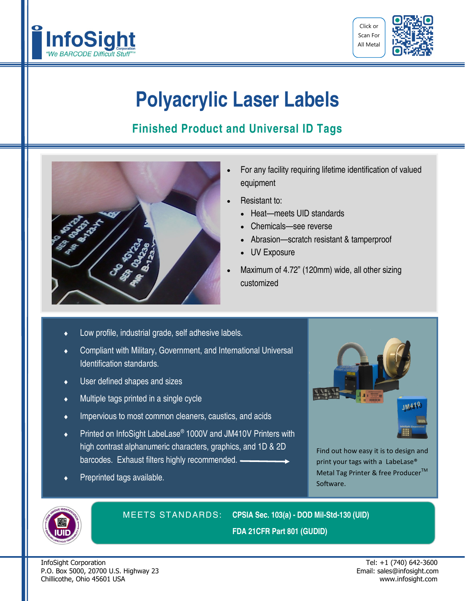



## **Polyacrylic Laser Labels**

## **Finished Product and Universal ID Tags**



- For any facility requiring lifetime identification of valued equipment
- Resistant to:
	- Heat—meets UID standards
	- Chemicals—see reverse
	- Abrasion—scratch resistant & tamperproof
	- UV Exposure
- Maximum of 4.72" (120mm) wide, all other sizing customized
- Low profile, industrial grade, self adhesive labels.
- Compliant with Military, Government, and International Universal Identification standards.
- User defined shapes and sizes
- Multiple tags printed in a single cycle
- **IMPER** Impervious to most common cleaners, caustics, and acids
- ◆ Printed on InfoSight LabeLase<sup>®</sup> 1000V and JM410V Printers with high contrast alphanumeric characters, graphics, and 1D & 2D barcodes. Exhaust filters highly recommended.
- Preprinted tags available.



Find out how easy it is to design and print your tags with a LabeLase® Metal Tag Printer & free Producer<sup>™</sup> Software.



MEETS STANDARDS: **CPSIA Sec. 103(a) - DOD Mil-Std-130 (UID) FDA 21CFR Part 801 (GUDID)**